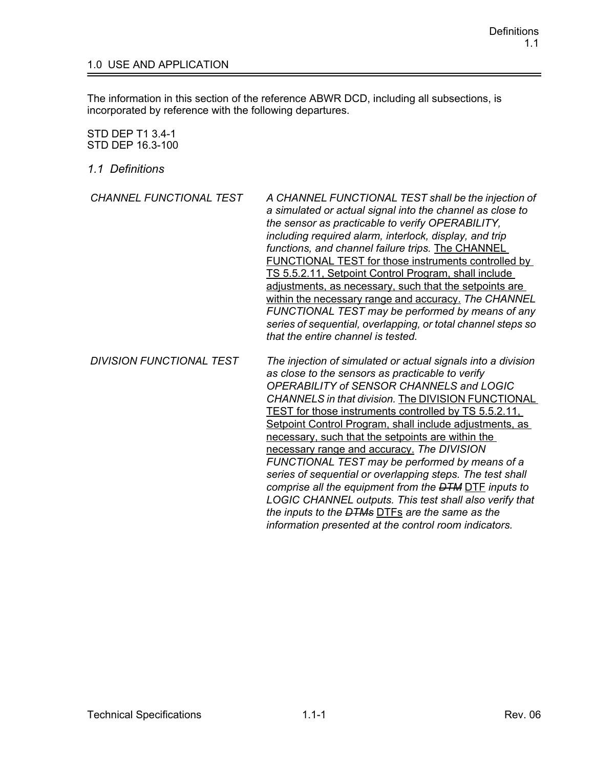## 1.0 USE AND APPLICATION

The information in this section of the reference ABWR DCD, including all subsections, is incorporated by reference with the following departures.

## STD DEP T1 3.4-1 STD DEP 16.3-100

*1.1 Definitions*

| <b>CHANNEL FUNCTIONAL TEST</b>  | A CHANNEL FUNCTIONAL TEST shall be the injection of<br>a simulated or actual signal into the channel as close to<br>the sensor as practicable to verify OPERABILITY,<br>including required alarm, interlock, display, and trip<br>functions, and channel failure trips. The CHANNEL<br>FUNCTIONAL TEST for those instruments controlled by<br>TS 5.5.2.11, Setpoint Control Program, shall include<br>adjustments, as necessary, such that the setpoints are<br>within the necessary range and accuracy. The CHANNEL<br>FUNCTIONAL TEST may be performed by means of any<br>series of sequential, overlapping, or total channel steps so<br>that the entire channel is tested. |
|---------------------------------|--------------------------------------------------------------------------------------------------------------------------------------------------------------------------------------------------------------------------------------------------------------------------------------------------------------------------------------------------------------------------------------------------------------------------------------------------------------------------------------------------------------------------------------------------------------------------------------------------------------------------------------------------------------------------------|
| <b>DIVISION FUNCTIONAL TEST</b> | The injection of simulated or actual signals into a division<br>as close to the sensors as practicable to verify<br>OPERABILITY of SENSOR CHANNELS and LOGIC<br><b>CHANNELS in that division. The DIVISION FUNCTIONAL</b>                                                                                                                                                                                                                                                                                                                                                                                                                                                      |

TEST for those instruments controlled by TS 5.5.2.11, Setpoint Control Program, shall include adjustments, as

*FUNCTIONAL TEST may be performed by means of a series of sequential or overlapping steps. The test shall comprise all the equipment from the DTM* DTF *inputs to LOGIC CHANNEL outputs. This test shall also verify that* 

necessary, such that the setpoints are within the necessary range and accuracy. *The DIVISION* 

*the inputs to the DTMs* DTFs *are the same as the information presented at the control room indicators.*